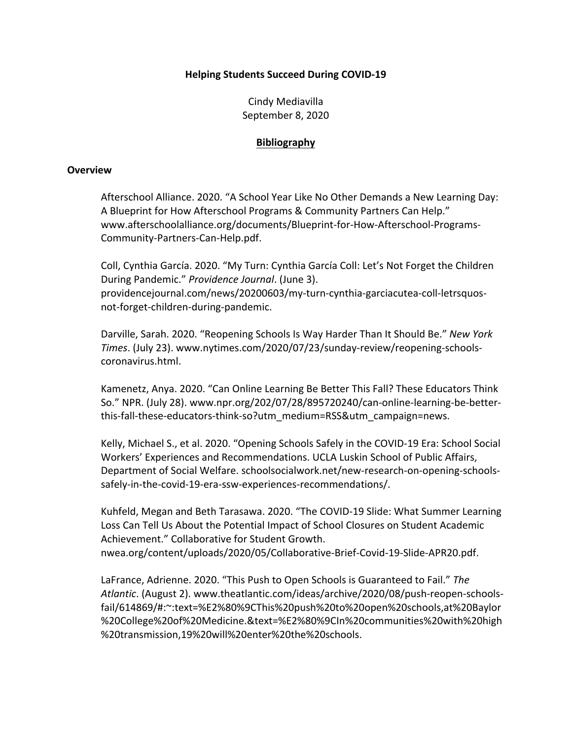## **Helping Students Succeed During COVID-19**

Cindy Mediavilla September 8, 2020

## **Bibliography**

#### **Overview**

Afterschool Alliance. 2020. "A School Year Like No Other Demands a New Learning Day: A Blueprint for How Afterschool Programs & Community Partners Can Help." www.afterschoolalliance.org/documents/Blueprint-for-How-Afterschool-Programs-Community-Partners-Can-Help.pdf.

Coll, Cynthia García. 2020. "My Turn: Cynthia García Coll: Let's Not Forget the Children During Pandemic." *Providence Journal*. (June 3). providencejournal.com/news/20200603/my-turn-cynthia-garciacutea-coll-letrsquosnot-forget-children-during-pandemic.

Darville, Sarah. 2020. "Reopening Schools Is Way Harder Than It Should Be." *New York Times*. (July 23). www.nytimes.com/2020/07/23/sunday-review/reopening-schoolscoronavirus.html.

Kamenetz, Anya. 2020. "Can Online Learning Be Better This Fall? These Educators Think So." NPR. (July 28). www.npr.org/202/07/28/895720240/can-online-learning-be-betterthis-fall-these-educators-think-so?utm\_medium=RSS&utm\_campaign=news.

Kelly, Michael S., et al. 2020. "Opening Schools Safely in the COVID-19 Era: School Social Workers' Experiences and Recommendations. UCLA Luskin School of Public Affairs, Department of Social Welfare. schoolsocialwork.net/new-research-on-opening-schoolssafely-in-the-covid-19-era-ssw-experiences-recommendations/.

Kuhfeld, Megan and Beth Tarasawa. 2020. "The COVID-19 Slide: What Summer Learning Loss Can Tell Us About the Potential Impact of School Closures on Student Academic Achievement." Collaborative for Student Growth. nwea.org/content/uploads/2020/05/Collaborative-Brief-Covid-19-Slide-APR20.pdf.

LaFrance, Adrienne. 2020. "This Push to Open Schools is Guaranteed to Fail." *The Atlantic*. (August 2). www.theatlantic.com/ideas/archive/2020/08/push-reopen-schoolsfail/614869/#:~:text=%E2%80%9CThis%20push%20to%20open%20schools,at%20Baylor %20College%20of%20Medicine.&text=%E2%80%9CIn%20communities%20with%20high %20transmission,19%20will%20enter%20the%20schools.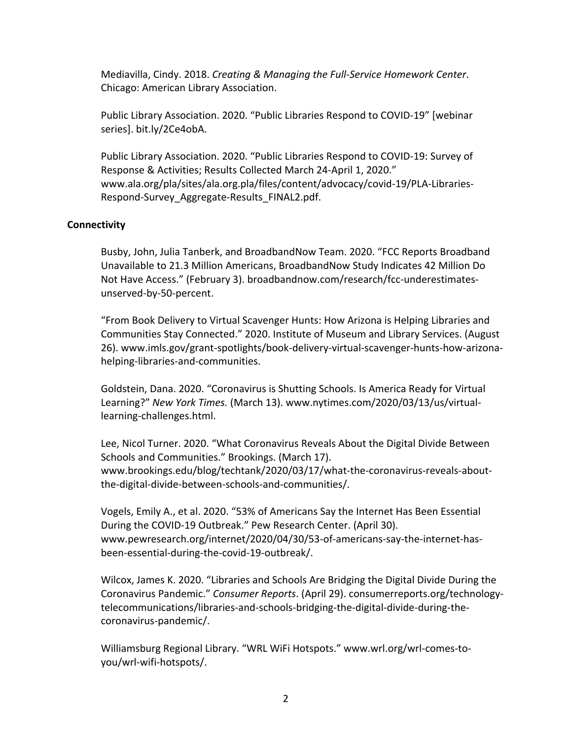Mediavilla, Cindy. 2018. *Creating & Managing the Full-Service Homework Center*. Chicago: American Library Association.

Public Library Association. 2020. "Public Libraries Respond to COVID-19" [webinar series]. bit.ly/2Ce4obA.

Public Library Association. 2020. "Public Libraries Respond to COVID-19: Survey of Response & Activities; Results Collected March 24-April 1, 2020." www.ala.org/pla/sites/ala.org.pla/files/content/advocacy/covid-19/PLA-Libraries-Respond-Survey\_Aggregate-Results\_FINAL2.pdf.

# **Connectivity**

Busby, John, Julia Tanberk, and BroadbandNow Team. 2020. "FCC Reports Broadband Unavailable to 21.3 Million Americans, BroadbandNow Study Indicates 42 Million Do Not Have Access." (February 3). broadbandnow.com/research/fcc-underestimatesunserved-by-50-percent.

"From Book Delivery to Virtual Scavenger Hunts: How Arizona is Helping Libraries and Communities Stay Connected." 2020. Institute of Museum and Library Services. (August 26). www.imls.gov/grant-spotlights/book-delivery-virtual-scavenger-hunts-how-arizonahelping-libraries-and-communities.

Goldstein, Dana. 2020. "Coronavirus is Shutting Schools. Is America Ready for Virtual Learning?" *New York Times.* (March 13). www.nytimes.com/2020/03/13/us/virtuallearning-challenges.html.

Lee, Nicol Turner. 2020. "What Coronavirus Reveals About the Digital Divide Between Schools and Communities." Brookings. (March 17). www.brookings.edu/blog/techtank/2020/03/17/what-the-coronavirus-reveals-aboutthe-digital-divide-between-schools-and-communities/.

Vogels, Emily A., et al. 2020. "53% of Americans Say the Internet Has Been Essential During the COVID-19 Outbreak." Pew Research Center. (April 30). www.pewresearch.org/internet/2020/04/30/53-of-americans-say-the-internet-hasbeen-essential-during-the-covid-19-outbreak/.

Wilcox, James K. 2020. "Libraries and Schools Are Bridging the Digital Divide During the Coronavirus Pandemic." *Consumer Reports*. (April 29). consumerreports.org/technologytelecommunications/libraries-and-schools-bridging-the-digital-divide-during-thecoronavirus-pandemic/.

Williamsburg Regional Library. "WRL WiFi Hotspots." www.wrl.org/wrl-comes-toyou/wrl-wifi-hotspots/.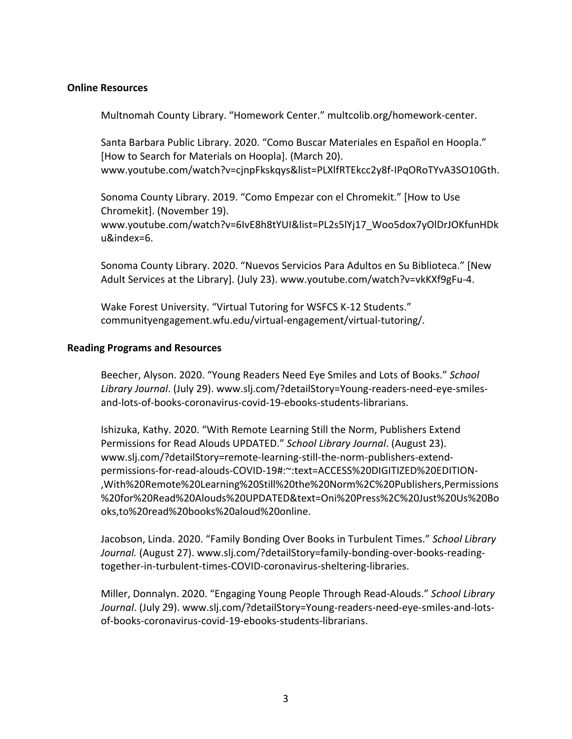### **Online Resources**

Multnomah County Library. "Homework Center." multcolib.org/homework-center.

Santa Barbara Public Library. 2020. "Como Buscar Materiales en Español en Hoopla." [How to Search for Materials on Hoopla]. (March 20). www.youtube.com/watch?v=cjnpFkskqys&list=PLXlfRTEkcc2y8f-IPqORoTYvA3SO10Gth.

Sonoma County Library. 2019. "Como Empezar con el Chromekit." [How to Use Chromekit]. (November 19). www.youtube.com/watch?v=6IvE8h8tYUI&list=PL2s5lYj17\_Woo5dox7yOlDrJOKfunHDk u&index=6.

Sonoma County Library. 2020. "Nuevos Servicios Para Adultos en Su Biblioteca." [New Adult Services at the Library]. (July 23). www.youtube.com/watch?v=vkKXf9gFu-4.

Wake Forest University. "Virtual Tutoring for WSFCS K-12 Students." communityengagement.wfu.edu/virtual-engagement/virtual-tutoring/.

### **Reading Programs and Resources**

Beecher, Alyson. 2020. "Young Readers Need Eye Smiles and Lots of Books." *School Library Journal*. (July 29). www.slj.com/?detailStory=Young-readers-need-eye-smilesand-lots-of-books-coronavirus-covid-19-ebooks-students-librarians.

Ishizuka, Kathy. 2020. "With Remote Learning Still the Norm, Publishers Extend Permissions for Read Alouds UPDATED." *School Library Journal*. (August 23). www.slj.com/?detailStory=remote-learning-still-the-norm-publishers-extendpermissions-for-read-alouds-COVID-19#:~:text=ACCESS%20DIGITIZED%20EDITION- ,With%20Remote%20Learning%20Still%20the%20Norm%2C%20Publishers,Permissions %20for%20Read%20Alouds%20UPDATED&text=Oni%20Press%2C%20Just%20Us%20Bo oks,to%20read%20books%20aloud%20online.

Jacobson, Linda. 2020. "Family Bonding Over Books in Turbulent Times." *School Library Journal.* (August 27). www.slj.com/?detailStory=family-bonding-over-books-readingtogether-in-turbulent-times-COVID-coronavirus-sheltering-libraries.

Miller, Donnalyn. 2020. "Engaging Young People Through Read-Alouds." *School Library Journal*. (July 29). www.slj.com/?detailStory=Young-readers-need-eye-smiles-and-lotsof-books-coronavirus-covid-19-ebooks-students-librarians.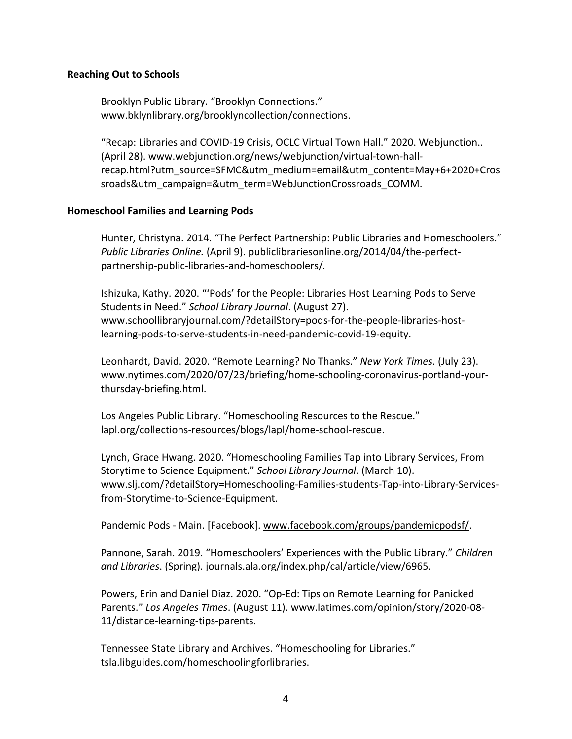### **Reaching Out to Schools**

Brooklyn Public Library. "Brooklyn Connections." www.bklynlibrary.org/brooklyncollection/connections.

"Recap: Libraries and COVID-19 Crisis, OCLC Virtual Town Hall." 2020. Webjunction.. (April 28). www.webjunction.org/news/webjunction/virtual-town-hallrecap.html?utm\_source=SFMC&utm\_medium=email&utm\_content=May+6+2020+Cros sroads&utm\_campaign=&utm\_term=WebJunctionCrossroads\_COMM.

### **Homeschool Families and Learning Pods**

Hunter, Christyna. 2014. "The Perfect Partnership: Public Libraries and Homeschoolers." *Public Libraries Online.* (April 9). publiclibrariesonline.org/2014/04/the-perfectpartnership-public-libraries-and-homeschoolers/*.*

Ishizuka, Kathy. 2020. "'Pods' for the People: Libraries Host Learning Pods to Serve Students in Need." *School Library Journal*. (August 27). www.schoollibraryjournal.com/?detailStory=pods-for-the-people-libraries-hostlearning-pods-to-serve-students-in-need-pandemic-covid-19-equity.

Leonhardt, David. 2020. "Remote Learning? No Thanks." *New York Times*. (July 23). www.nytimes.com/2020/07/23/briefing/home-schooling-coronavirus-portland-yourthursday-briefing.html.

Los Angeles Public Library. "Homeschooling Resources to the Rescue." lapl.org/collections-resources/blogs/lapl/home-school-rescue.

Lynch, Grace Hwang. 2020. "Homeschooling Families Tap into Library Services, From Storytime to Science Equipment." *School Library Journal*. (March 10). www.slj.com/?detailStory=Homeschooling-Families-students-Tap-into-Library-Servicesfrom-Storytime-to-Science-Equipment.

Pandemic Pods - Main. [Facebook]. www.facebook.com/groups/pandemicpodsf/.

Pannone, Sarah. 2019. "Homeschoolers' Experiences with the Public Library." *Children and Libraries*. (Spring). journals.ala.org/index.php/cal/article/view/6965.

Powers, Erin and Daniel Diaz. 2020. "Op-Ed: Tips on Remote Learning for Panicked Parents." *Los Angeles Times*. (August 11). www.latimes.com/opinion/story/2020-08- 11/distance-learning-tips-parents.

Tennessee State Library and Archives. "Homeschooling for Libraries." tsla.libguides.com/homeschoolingforlibraries.